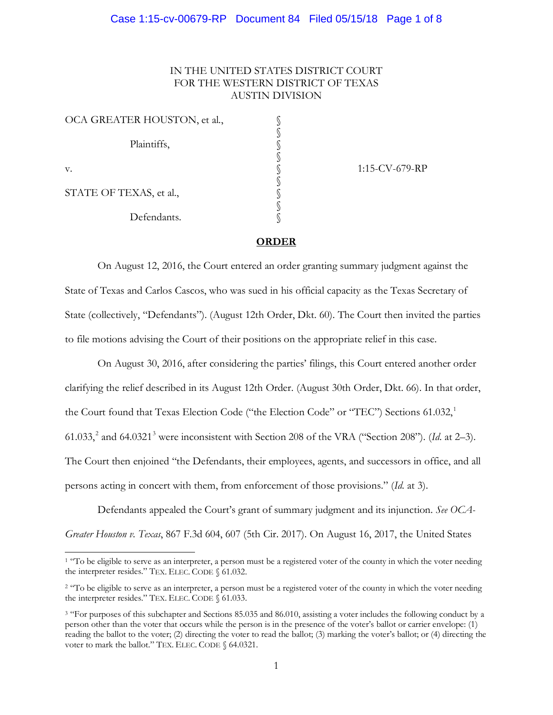# IN THE UNITED STATES DISTRICT COURT FOR THE WESTERN DISTRICT OF TEXAS AUSTIN DIVISION

| OCA GREATER HOUSTON, et al., |  |
|------------------------------|--|
|                              |  |
| Plaintiffs,                  |  |
|                              |  |
| v.                           |  |
| STATE OF TEXAS, et al.,      |  |
|                              |  |
| Defendants.                  |  |

-

1:15-CV-679-RP

## **ORDER**

On August 12, 2016, the Court entered an order granting summary judgment against the State of Texas and Carlos Cascos, who was sued in his official capacity as the Texas Secretary of State (collectively, "Defendants"). (August 12th Order, Dkt. 60). The Court then invited the parties to file motions advising the Court of their positions on the appropriate relief in this case.

On August 30, 2016, after considering the parties' filings, this Court entered another order clarifying the relief described in its August 12th Order. (August 30th Order, Dkt. 66). In that order, the Court found that Texas Election Code ("the Election Code" or "TEC") Sections 61.032,<sup>1</sup> 61.033,<sup>2</sup> and 64.0321<sup>3</sup> were inconsistent with Section 208 of the VRA ("Section 208"). (*Id.* at 2–3). The Court then enjoined "the Defendants, their employees, agents, and successors in office, and all persons acting in concert with them, from enforcement of those provisions." (*Id*. at 3).

Defendants appealed the Court's grant of summary judgment and its injunction. *See OCA-Greater Houston v. Texas*, 867 F.3d 604, 607 (5th Cir. 2017). On August 16, 2017, the United States

<sup>&</sup>lt;sup>1</sup> "To be eligible to serve as an interpreter, a person must be a registered voter of the county in which the voter needing the interpreter resides." TEX. ELEC. CODE § 61.032.

<sup>&</sup>lt;sup>2</sup> "To be eligible to serve as an interpreter, a person must be a registered voter of the county in which the voter needing the interpreter resides." TEX. ELEC. CODE § 61.033.

<sup>&</sup>lt;sup>3</sup> "For purposes of this subchapter and Sections 85.035 and 86.010, assisting a voter includes the following conduct by a person other than the voter that occurs while the person is in the presence of the voter's ballot or carrier envelope: (1) reading the ballot to the voter; (2) directing the voter to read the ballot; (3) marking the voter's ballot; or (4) directing the voter to mark the ballot." TEX. ELEC. CODE § 64.0321.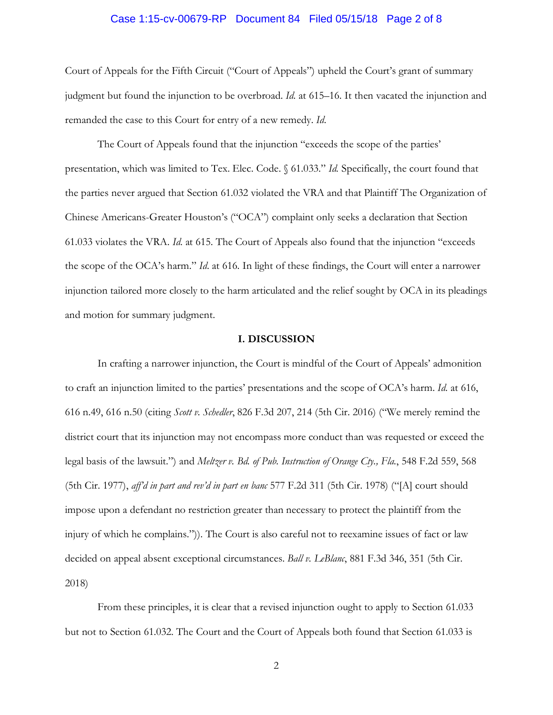#### Case 1:15-cv-00679-RP Document 84 Filed 05/15/18 Page 2 of 8

Court of Appeals for the Fifth Circuit ("Court of Appeals") upheld the Court's grant of summary judgment but found the injunction to be overbroad. *Id*. at 615–16. It then vacated the injunction and remanded the case to this Court for entry of a new remedy. *Id*.

The Court of Appeals found that the injunction "exceeds the scope of the parties' presentation, which was limited to Tex. Elec. Code. § 61.033." *Id.* Specifically, the court found that the parties never argued that Section 61.032 violated the VRA and that Plaintiff The Organization of Chinese Americans-Greater Houston's ("OCA") complaint only seeks a declaration that Section 61.033 violates the VRA. *Id*. at 615. The Court of Appeals also found that the injunction "exceeds the scope of the OCA's harm." *Id*. at 616. In light of these findings, the Court will enter a narrower injunction tailored more closely to the harm articulated and the relief sought by OCA in its pleadings and motion for summary judgment.

## **I. DISCUSSION**

In crafting a narrower injunction, the Court is mindful of the Court of Appeals' admonition to craft an injunction limited to the parties' presentations and the scope of OCA's harm. *Id*. at 616, 616 n.49, 616 n.50 (citing *Scott v. Schedler*, 826 F.3d 207, 214 (5th Cir. 2016) ("We merely remind the district court that its injunction may not encompass more conduct than was requested or exceed the legal basis of the lawsuit.") and *Meltzer v. Bd. of Pub. Instruction of Orange Cty., Fla.*, 548 F.2d 559, 568 (5th Cir. 1977), *aff'd in part and rev'd in part en banc* 577 F.2d 311 (5th Cir. 1978) ("[A] court should impose upon a defendant no restriction greater than necessary to protect the plaintiff from the injury of which he complains.")). The Court is also careful not to reexamine issues of fact or law decided on appeal absent exceptional circumstances. *Ball v. LeBlanc*, 881 F.3d 346, 351 (5th Cir. 2018)

From these principles, it is clear that a revised injunction ought to apply to Section 61.033 but not to Section 61.032. The Court and the Court of Appeals both found that Section 61.033 is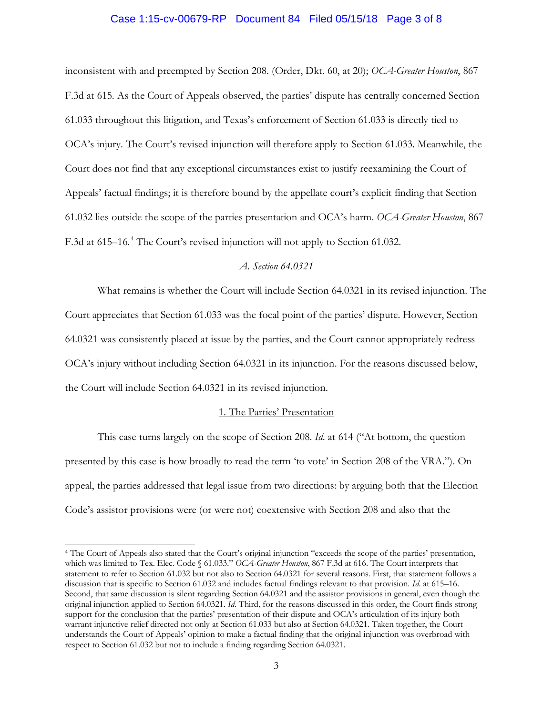## Case 1:15-cv-00679-RP Document 84 Filed 05/15/18 Page 3 of 8

inconsistent with and preempted by Section 208. (Order, Dkt. 60, at 20); *OCA-Greater Houston*, 867 F.3d at 615. As the Court of Appeals observed, the parties' dispute has centrally concerned Section 61.033 throughout this litigation, and Texas's enforcement of Section 61.033 is directly tied to OCA's injury. The Court's revised injunction will therefore apply to Section 61.033. Meanwhile, the Court does not find that any exceptional circumstances exist to justify reexamining the Court of Appeals' factual findings; it is therefore bound by the appellate court's explicit finding that Section 61.032 lies outside the scope of the parties presentation and OCA's harm. *OCA-Greater Houston*, 867 F.3d at 615–16.<sup>4</sup> The Court's revised injunction will not apply to Section 61.032.

## *A. Section 64.0321*

What remains is whether the Court will include Section 64.0321 in its revised injunction. The Court appreciates that Section 61.033 was the focal point of the parties' dispute. However, Section 64.0321 was consistently placed at issue by the parties, and the Court cannot appropriately redress OCA's injury without including Section 64.0321 in its injunction. For the reasons discussed below, the Court will include Section 64.0321 in its revised injunction.

#### 1. The Parties' Presentation

This case turns largely on the scope of Section 208. *Id*. at 614 ("At bottom, the question presented by this case is how broadly to read the term 'to vote' in Section 208 of the VRA."). On appeal, the parties addressed that legal issue from two directions: by arguing both that the Election Code's assistor provisions were (or were not) coextensive with Section 208 and also that the

-

<sup>4</sup> The Court of Appeals also stated that the Court's original injunction "exceeds the scope of the parties' presentation, which was limited to Tex. Elec. Code § 61.033." *OCA-Greater Houston*, 867 F.3d at 616. The Court interprets that statement to refer to Section 61.032 but not also to Section 64.0321 for several reasons. First, that statement follows a discussion that is specific to Section 61.032 and includes factual findings relevant to that provision. *Id*. at 615–16. Second, that same discussion is silent regarding Section 64.0321 and the assistor provisions in general, even though the original injunction applied to Section 64.0321. *Id*. Third, for the reasons discussed in this order, the Court finds strong support for the conclusion that the parties' presentation of their dispute and OCA's articulation of its injury both warrant injunctive relief directed not only at Section 61.033 but also at Section 64.0321. Taken together, the Court understands the Court of Appeals' opinion to make a factual finding that the original injunction was overbroad with respect to Section 61.032 but not to include a finding regarding Section 64.0321.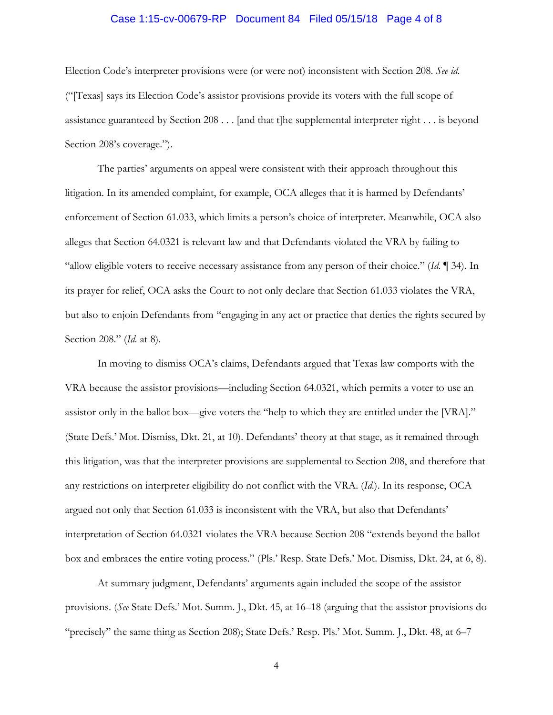#### Case 1:15-cv-00679-RP Document 84 Filed 05/15/18 Page 4 of 8

Election Code's interpreter provisions were (or were not) inconsistent with Section 208. *See id*. ("[Texas] says its Election Code's assistor provisions provide its voters with the full scope of assistance guaranteed by Section 208 . . . [and that t]he supplemental interpreter right . . . is beyond Section 208's coverage.").

The parties' arguments on appeal were consistent with their approach throughout this litigation. In its amended complaint, for example, OCA alleges that it is harmed by Defendants' enforcement of Section 61.033, which limits a person's choice of interpreter. Meanwhile, OCA also alleges that Section 64.0321 is relevant law and that Defendants violated the VRA by failing to "allow eligible voters to receive necessary assistance from any person of their choice." (*Id*. ¶ 34). In its prayer for relief, OCA asks the Court to not only declare that Section 61.033 violates the VRA, but also to enjoin Defendants from "engaging in any act or practice that denies the rights secured by Section 208." (*Id*. at 8).

In moving to dismiss OCA's claims, Defendants argued that Texas law comports with the VRA because the assistor provisions—including Section 64.0321, which permits a voter to use an assistor only in the ballot box—give voters the "help to which they are entitled under the [VRA]." (State Defs.' Mot. Dismiss, Dkt. 21, at 10). Defendants' theory at that stage, as it remained through this litigation, was that the interpreter provisions are supplemental to Section 208, and therefore that any restrictions on interpreter eligibility do not conflict with the VRA. (*Id*.). In its response, OCA argued not only that Section 61.033 is inconsistent with the VRA, but also that Defendants' interpretation of Section 64.0321 violates the VRA because Section 208 "extends beyond the ballot box and embraces the entire voting process." (Pls.' Resp. State Defs.' Mot. Dismiss, Dkt. 24, at 6, 8).

At summary judgment, Defendants' arguments again included the scope of the assistor provisions. (*See* State Defs.' Mot. Summ. J., Dkt. 45, at 16–18 (arguing that the assistor provisions do "precisely" the same thing as Section 208); State Defs.' Resp. Pls.' Mot. Summ. J., Dkt. 48, at 6–7

4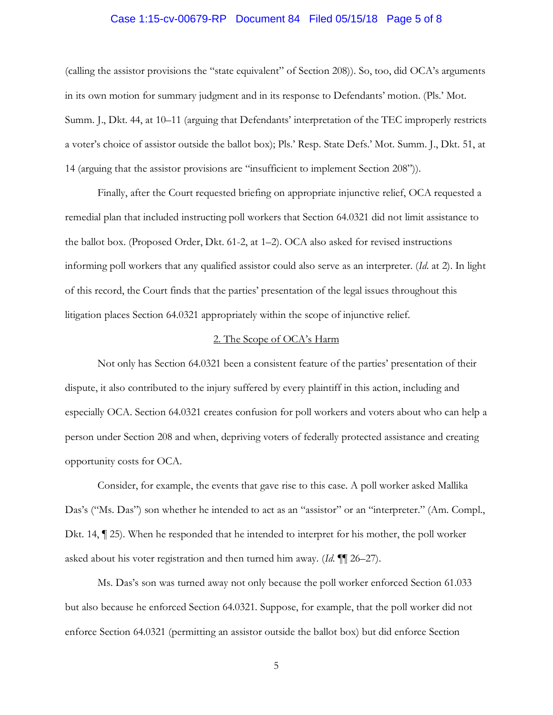#### Case 1:15-cv-00679-RP Document 84 Filed 05/15/18 Page 5 of 8

(calling the assistor provisions the "state equivalent" of Section 208)). So, too, did OCA's arguments in its own motion for summary judgment and in its response to Defendants' motion. (Pls.' Mot. Summ. J., Dkt. 44, at 10–11 (arguing that Defendants' interpretation of the TEC improperly restricts a voter's choice of assistor outside the ballot box); Pls.' Resp. State Defs.' Mot. Summ. J., Dkt. 51, at 14 (arguing that the assistor provisions are "insufficient to implement Section 208")).

Finally, after the Court requested briefing on appropriate injunctive relief, OCA requested a remedial plan that included instructing poll workers that Section 64.0321 did not limit assistance to the ballot box. (Proposed Order, Dkt. 61-2, at 1–2). OCA also asked for revised instructions informing poll workers that any qualified assistor could also serve as an interpreter. (*Id*. at 2). In light of this record, the Court finds that the parties' presentation of the legal issues throughout this litigation places Section 64.0321 appropriately within the scope of injunctive relief.

#### 2. The Scope of OCA's Harm

Not only has Section 64.0321 been a consistent feature of the parties' presentation of their dispute, it also contributed to the injury suffered by every plaintiff in this action, including and especially OCA. Section 64.0321 creates confusion for poll workers and voters about who can help a person under Section 208 and when, depriving voters of federally protected assistance and creating opportunity costs for OCA.

Consider, for example, the events that gave rise to this case. A poll worker asked Mallika Das's ("Ms. Das") son whether he intended to act as an "assistor" or an "interpreter." (Am. Compl., Dkt. 14, ¶ 25). When he responded that he intended to interpret for his mother, the poll worker asked about his voter registration and then turned him away. (*Id*. ¶¶ 26–27).

Ms. Das's son was turned away not only because the poll worker enforced Section 61.033 but also because he enforced Section 64.0321. Suppose, for example, that the poll worker did not enforce Section 64.0321 (permitting an assistor outside the ballot box) but did enforce Section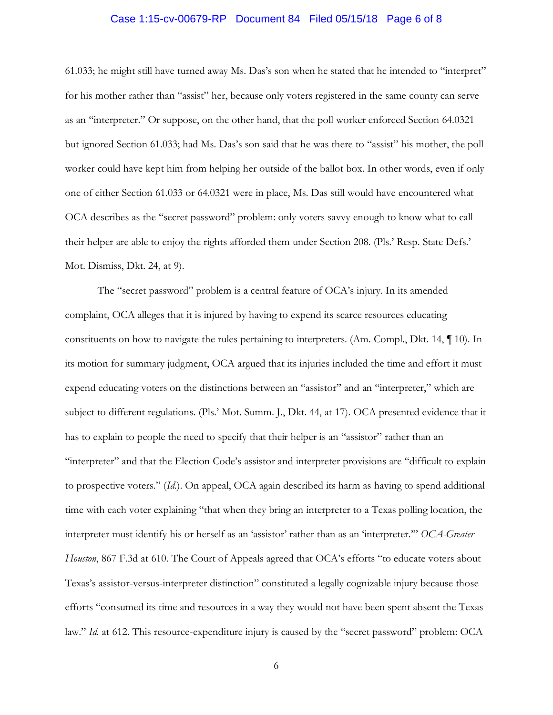#### Case 1:15-cv-00679-RP Document 84 Filed 05/15/18 Page 6 of 8

61.033; he might still have turned away Ms. Das's son when he stated that he intended to "interpret" for his mother rather than "assist" her, because only voters registered in the same county can serve as an "interpreter." Or suppose, on the other hand, that the poll worker enforced Section 64.0321 but ignored Section 61.033; had Ms. Das's son said that he was there to "assist" his mother, the poll worker could have kept him from helping her outside of the ballot box. In other words, even if only one of either Section 61.033 or 64.0321 were in place, Ms. Das still would have encountered what OCA describes as the "secret password" problem: only voters savvy enough to know what to call their helper are able to enjoy the rights afforded them under Section 208. (Pls.' Resp. State Defs.' Mot. Dismiss, Dkt. 24, at 9).

The "secret password" problem is a central feature of OCA's injury. In its amended complaint, OCA alleges that it is injured by having to expend its scarce resources educating constituents on how to navigate the rules pertaining to interpreters. (Am. Compl., Dkt. 14, ¶ 10). In its motion for summary judgment, OCA argued that its injuries included the time and effort it must expend educating voters on the distinctions between an "assistor" and an "interpreter," which are subject to different regulations. (Pls.' Mot. Summ. J., Dkt. 44, at 17). OCA presented evidence that it has to explain to people the need to specify that their helper is an "assistor" rather than an "interpreter" and that the Election Code's assistor and interpreter provisions are "difficult to explain to prospective voters." (*Id*.). On appeal, OCA again described its harm as having to spend additional time with each voter explaining "that when they bring an interpreter to a Texas polling location, the interpreter must identify his or herself as an 'assistor' rather than as an 'interpreter.'" *OCA-Greater Houston*, 867 F.3d at 610. The Court of Appeals agreed that OCA's efforts "to educate voters about Texas's assistor-versus-interpreter distinction" constituted a legally cognizable injury because those efforts "consumed its time and resources in a way they would not have been spent absent the Texas law." *Id.* at 612. This resource-expenditure injury is caused by the "secret password" problem: OCA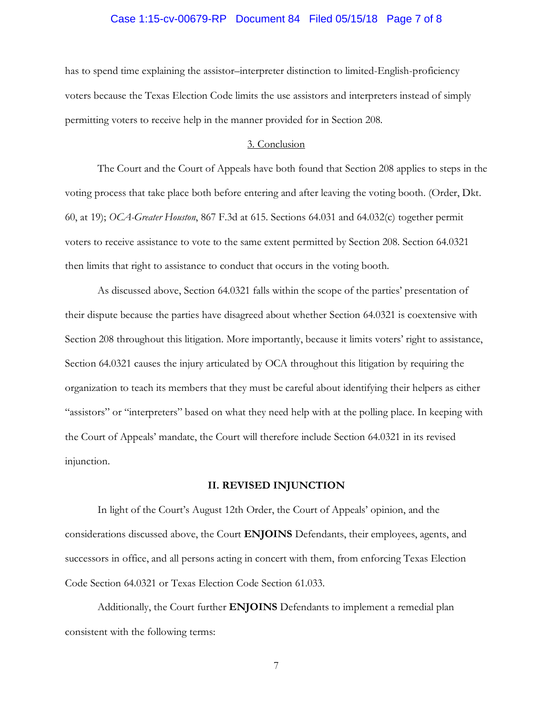#### Case 1:15-cv-00679-RP Document 84 Filed 05/15/18 Page 7 of 8

has to spend time explaining the assistor–interpreter distinction to limited-English-proficiency voters because the Texas Election Code limits the use assistors and interpreters instead of simply permitting voters to receive help in the manner provided for in Section 208.

#### 3. Conclusion

The Court and the Court of Appeals have both found that Section 208 applies to steps in the voting process that take place both before entering and after leaving the voting booth. (Order, Dkt. 60, at 19); *OCA-Greater Houston*, 867 F.3d at 615. Sections 64.031 and 64.032(c) together permit voters to receive assistance to vote to the same extent permitted by Section 208. Section 64.0321 then limits that right to assistance to conduct that occurs in the voting booth.

As discussed above, Section 64.0321 falls within the scope of the parties' presentation of their dispute because the parties have disagreed about whether Section 64.0321 is coextensive with Section 208 throughout this litigation. More importantly, because it limits voters' right to assistance, Section 64.0321 causes the injury articulated by OCA throughout this litigation by requiring the organization to teach its members that they must be careful about identifying their helpers as either "assistors" or "interpreters" based on what they need help with at the polling place. In keeping with the Court of Appeals' mandate, the Court will therefore include Section 64.0321 in its revised injunction.

#### **II. REVISED INJUNCTION**

In light of the Court's August 12th Order, the Court of Appeals' opinion, and the considerations discussed above, the Court **ENJOINS** Defendants, their employees, agents, and successors in office, and all persons acting in concert with them, from enforcing Texas Election Code Section 64.0321 or Texas Election Code Section 61.033.

Additionally, the Court further **ENJOINS** Defendants to implement a remedial plan consistent with the following terms:

7